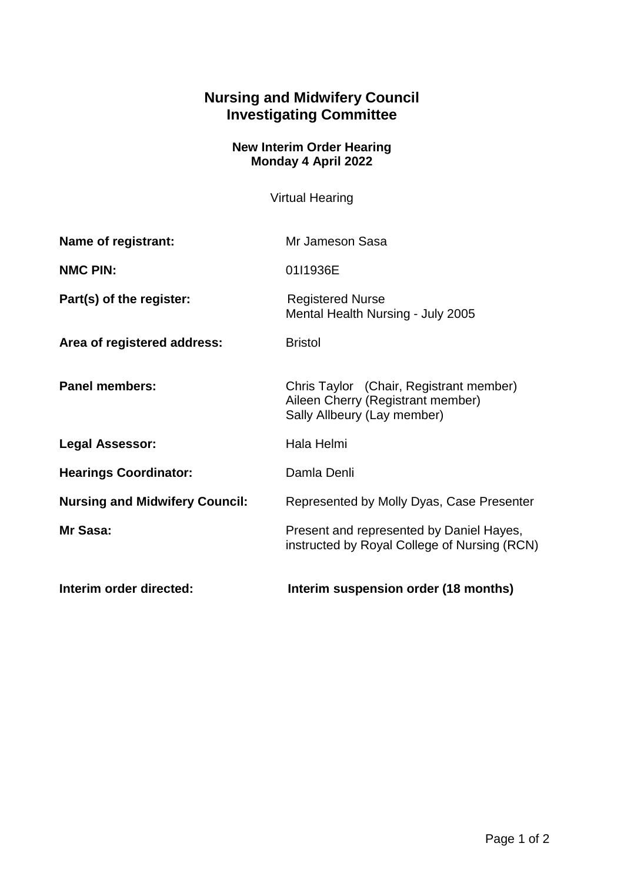## **Nursing and Midwifery Council Investigating Committee**

## **New Interim Order Hearing Monday 4 April 2022**

Virtual Hearing

| Name of registrant:                   | Mr Jameson Sasa                                                                                             |
|---------------------------------------|-------------------------------------------------------------------------------------------------------------|
| <b>NMC PIN:</b>                       | 01I1936E                                                                                                    |
| Part(s) of the register:              | <b>Registered Nurse</b><br>Mental Health Nursing - July 2005                                                |
| Area of registered address:           | <b>Bristol</b>                                                                                              |
| <b>Panel members:</b>                 | Chris Taylor (Chair, Registrant member)<br>Aileen Cherry (Registrant member)<br>Sally Allbeury (Lay member) |
| <b>Legal Assessor:</b>                | Hala Helmi                                                                                                  |
| <b>Hearings Coordinator:</b>          | Damla Denli                                                                                                 |
| <b>Nursing and Midwifery Council:</b> | Represented by Molly Dyas, Case Presenter                                                                   |
| Mr Sasa:                              | Present and represented by Daniel Hayes,<br>instructed by Royal College of Nursing (RCN)                    |
| Interim order directed:               | Interim suspension order (18 months)                                                                        |